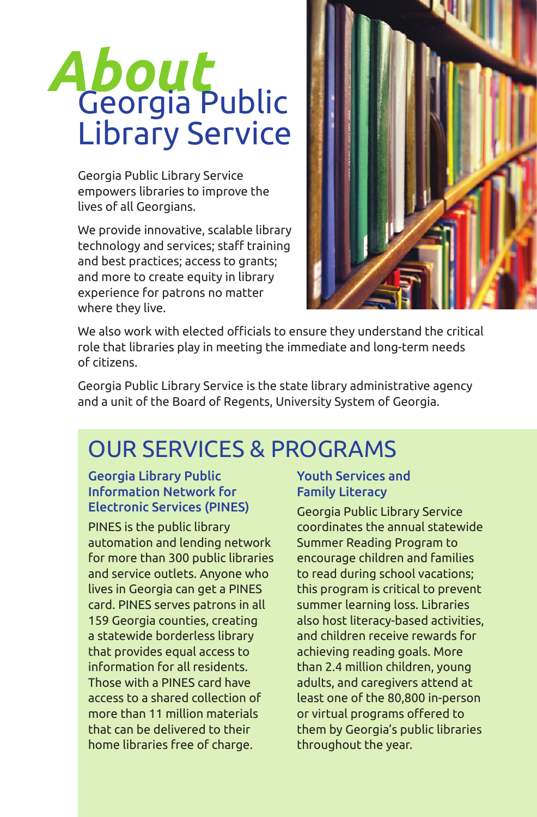# *About* Georgia Public Library Service

Georgia Public Library Service empowers libraries to improve the lives of all Georgians.

We provide innovative, scalable library technology and services; staff training and best practices; access to grants; and more to create equity in library experience for patrons no matter where they live.



We also work with elected officials to ensure they understand the critical role that libraries play in meeting the immediate and long-term needs of citizens.

Georgia Public Library Service is the state library administrative agency and a unit of the Board of Regents, University System of Georgia.

# OUR SERVICES & PROGRAMS

#### Georgia Library Public Information Network for Electronic Services (PINES)

PINES is the public library automation and lending network for more than 300 public libraries and service outlets. Anyone who lives in Georgia can get a PINES card. PINES serves patrons in all 159 Georgia counties, creating a statewide borderless library that provides equal access to information for all residents. Those with a PINES card have access to a shared collection of more than 11 million materials that can be delivered to their home libraries free of charge.

### Youth Services and Family Literacy

Georgia Public Library Service coordinates the annual statewide Summer Reading Program to encourage children and families to read during school vacations; this program is critical to prevent summer learning loss. Libraries also host literacy-based activities, and children receive rewards for achieving reading goals. More than 2.4 million children, young adults, and caregivers attend at least one of the 80,800 in-person or virtual programs offered to them by Georgia's public libraries throughout the year.